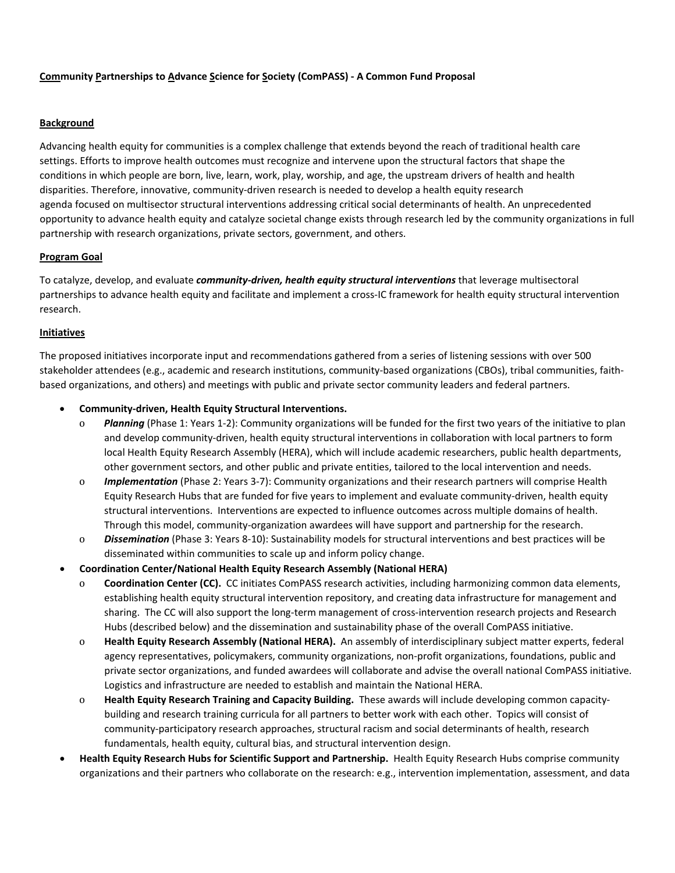#### **Background**

Advancing health equity for communities is a complex challenge that extends beyond the reach of traditional health care settings. Efforts to improve health outcomes must recognize and intervene upon the structural factors that shape the conditions in which people are born, live, learn, work, play, worship, and age, the upstream drivers of health and health disparities. Therefore, innovative, community-driven research is needed to develop a health equity research agenda focused on multisector structural interventions addressing critical social determinants of health. An unprecedented opportunity to advance health equity and catalyze societal change exists through research led by the community organizations in full partnership with research organizations, private sectors, government, and others.

## **Program Goal**

To catalyze, develop, and evaluate *community-driven, health equity structural interventions* that leverage multisectoral partnerships to advance health equity and facilitate and implement a cross-IC framework for health equity structural intervention research.

### **Initiatives**

The proposed initiatives incorporate input and recommendations gathered from a series of listening sessions with over 500 stakeholder attendees (e.g., academic and research institutions, community-based organizations (CBOs), tribal communities, faithbased organizations, and others) and meetings with public and private sector community leaders and federal partners.

- **Community-driven, Health Equity Structural Interventions.**
	- o *Planning* (Phase 1: Years 1-2): Community organizations will be funded for the first two years of the initiative to plan and develop community-driven, health equity structural interventions in collaboration with local partners to form local Health Equity Research Assembly (HERA), which will include academic researchers, public health departments, other government sectors, and other public and private entities, tailored to the local intervention and needs.
	- o *Implementation* (Phase 2: Years 3-7): Community organizations and their research partners will comprise Health Equity Research Hubs that are funded for five years to implement and evaluate community-driven, health equity structural interventions. Interventions are expected to influence outcomes across multiple domains of health. Through this model, community-organization awardees will have support and partnership for the research.
	- o *Dissemination* (Phase 3: Years 8-10): Sustainability models for structural interventions and best practices will be disseminated within communities to scale up and inform policy change.
- **Coordination Center/National Health Equity Research Assembly (National HERA)**
	- o **Coordination Center (CC).** CC initiates ComPASS research activities, including harmonizing common data elements, establishing health equity structural intervention repository, and creating data infrastructure for management and sharing. The CC will also support the long-term management of cross-intervention research projects and Research Hubs (described below) and the dissemination and sustainability phase of the overall ComPASS initiative.
	- o **Health Equity Research Assembly (National HERA).** An assembly of interdisciplinary subject matter experts, federal agency representatives, policymakers, community organizations, non-profit organizations, foundations, public and private sector organizations, and funded awardees will collaborate and advise the overall national ComPASS initiative. Logistics and infrastructure are needed to establish and maintain the National HERA.
	- o **Health Equity Research Training and Capacity Building.** These awards will include developing common capacitybuilding and research training curricula for all partners to better work with each other. Topics will consist of community-participatory research approaches, structural racism and social determinants of health, research fundamentals, health equity, cultural bias, and structural intervention design.
- **Health Equity Research Hubs for Scientific Support and Partnership.** Health Equity Research Hubs comprise community organizations and their partners who collaborate on the research: e.g., intervention implementation, assessment, and data